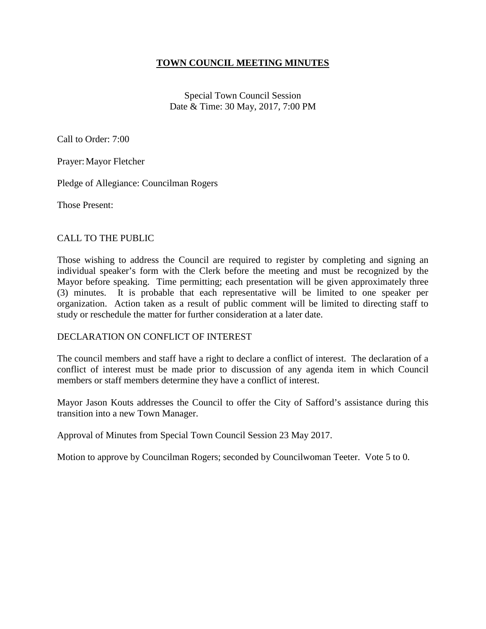### **TOWN COUNCIL MEETING MINUTES**

Special Town Council Session Date & Time: 30 May, 2017, 7:00 PM

Call to Order: 7:00

Prayer: Mayor Fletcher

Pledge of Allegiance: Councilman Rogers

Those Present:

#### CALL TO THE PUBLIC

Those wishing to address the Council are required to register by completing and signing an individual speaker's form with the Clerk before the meeting and must be recognized by the Mayor before speaking. Time permitting; each presentation will be given approximately three (3) minutes. It is probable that each representative will be limited to one speaker per organization. Action taken as a result of public comment will be limited to directing staff to study or reschedule the matter for further consideration at a later date.

#### DECLARATION ON CONFLICT OF INTEREST

The council members and staff have a right to declare a conflict of interest. The declaration of a conflict of interest must be made prior to discussion of any agenda item in which Council members or staff members determine they have a conflict of interest.

Mayor Jason Kouts addresses the Council to offer the City of Safford's assistance during this transition into a new Town Manager.

Approval of Minutes from Special Town Council Session 23 May 2017.

Motion to approve by Councilman Rogers; seconded by Councilwoman Teeter. Vote 5 to 0.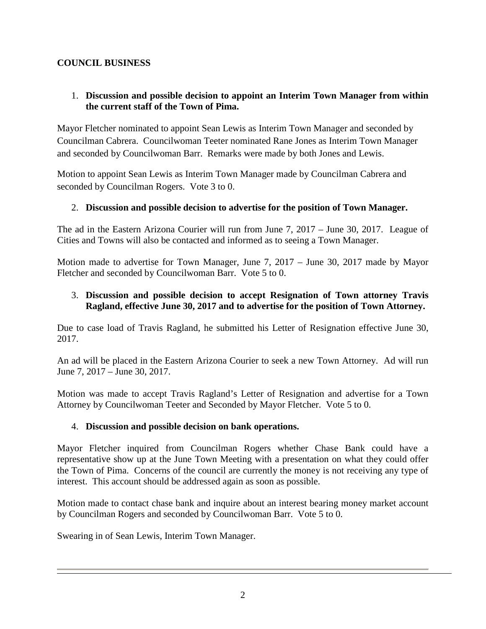# **COUNCIL BUSINESS**

## 1. **Discussion and possible decision to appoint an Interim Town Manager from within the current staff of the Town of Pima.**

Mayor Fletcher nominated to appoint Sean Lewis as Interim Town Manager and seconded by Councilman Cabrera. Councilwoman Teeter nominated Rane Jones as Interim Town Manager and seconded by Councilwoman Barr. Remarks were made by both Jones and Lewis.

Motion to appoint Sean Lewis as Interim Town Manager made by Councilman Cabrera and seconded by Councilman Rogers. Vote 3 to 0.

### 2. **Discussion and possible decision to advertise for the position of Town Manager.**

The ad in the Eastern Arizona Courier will run from June 7, 2017 – June 30, 2017. League of Cities and Towns will also be contacted and informed as to seeing a Town Manager.

Motion made to advertise for Town Manager, June 7, 2017 – June 30, 2017 made by Mayor Fletcher and seconded by Councilwoman Barr. Vote 5 to 0.

### 3. **Discussion and possible decision to accept Resignation of Town attorney Travis Ragland, effective June 30, 2017 and to advertise for the position of Town Attorney.**

Due to case load of Travis Ragland, he submitted his Letter of Resignation effective June 30, 2017.

An ad will be placed in the Eastern Arizona Courier to seek a new Town Attorney. Ad will run June 7, 2017 – June 30, 2017.

Motion was made to accept Travis Ragland's Letter of Resignation and advertise for a Town Attorney by Councilwoman Teeter and Seconded by Mayor Fletcher. Vote 5 to 0.

#### 4. **Discussion and possible decision on bank operations.**

Mayor Fletcher inquired from Councilman Rogers whether Chase Bank could have a representative show up at the June Town Meeting with a presentation on what they could offer the Town of Pima. Concerns of the council are currently the money is not receiving any type of interest. This account should be addressed again as soon as possible.

Motion made to contact chase bank and inquire about an interest bearing money market account by Councilman Rogers and seconded by Councilwoman Barr. Vote 5 to 0.

Swearing in of Sean Lewis, Interim Town Manager.